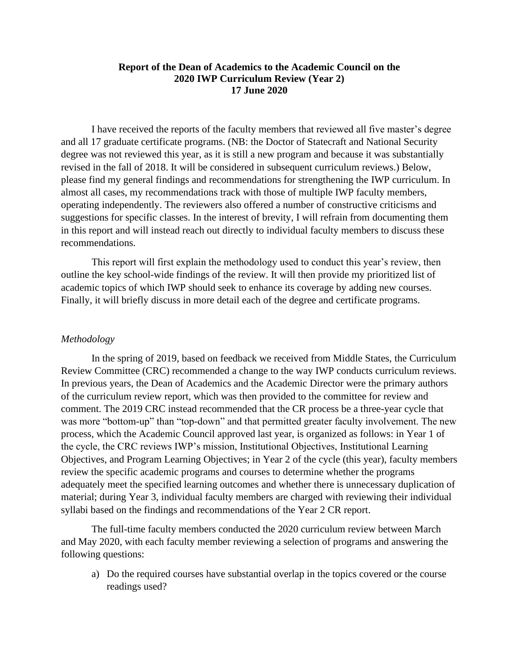#### **Report of the Dean of Academics to the Academic Council on the 2020 IWP Curriculum Review (Year 2) 17 June 2020**

I have received the reports of the faculty members that reviewed all five master's degree and all 17 graduate certificate programs. (NB: the Doctor of Statecraft and National Security degree was not reviewed this year, as it is still a new program and because it was substantially revised in the fall of 2018. It will be considered in subsequent curriculum reviews.) Below, please find my general findings and recommendations for strengthening the IWP curriculum. In almost all cases, my recommendations track with those of multiple IWP faculty members, operating independently. The reviewers also offered a number of constructive criticisms and suggestions for specific classes. In the interest of brevity, I will refrain from documenting them in this report and will instead reach out directly to individual faculty members to discuss these recommendations.

This report will first explain the methodology used to conduct this year's review, then outline the key school-wide findings of the review. It will then provide my prioritized list of academic topics of which IWP should seek to enhance its coverage by adding new courses. Finally, it will briefly discuss in more detail each of the degree and certificate programs.

#### *Methodology*

In the spring of 2019, based on feedback we received from Middle States, the Curriculum Review Committee (CRC) recommended a change to the way IWP conducts curriculum reviews. In previous years, the Dean of Academics and the Academic Director were the primary authors of the curriculum review report, which was then provided to the committee for review and comment. The 2019 CRC instead recommended that the CR process be a three-year cycle that was more "bottom-up" than "top-down" and that permitted greater faculty involvement. The new process, which the Academic Council approved last year, is organized as follows: in Year 1 of the cycle, the CRC reviews IWP's mission, Institutional Objectives, Institutional Learning Objectives, and Program Learning Objectives; in Year 2 of the cycle (this year), faculty members review the specific academic programs and courses to determine whether the programs adequately meet the specified learning outcomes and whether there is unnecessary duplication of material; during Year 3, individual faculty members are charged with reviewing their individual syllabi based on the findings and recommendations of the Year 2 CR report.

The full-time faculty members conducted the 2020 curriculum review between March and May 2020, with each faculty member reviewing a selection of programs and answering the following questions:

a) Do the required courses have substantial overlap in the topics covered or the course readings used?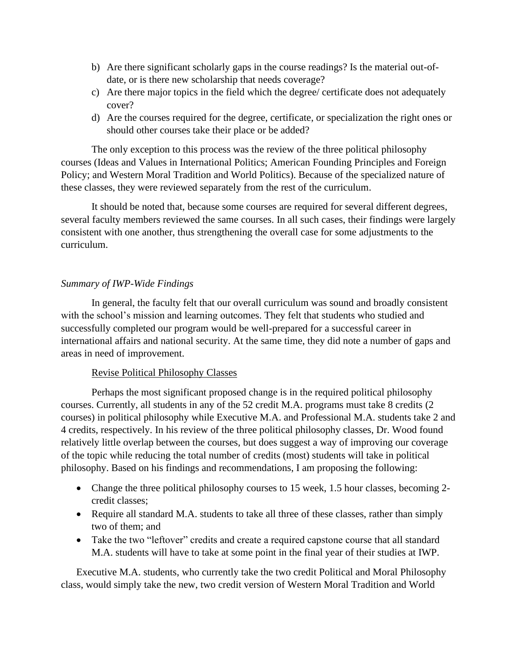- b) Are there significant scholarly gaps in the course readings? Is the material out-ofdate, or is there new scholarship that needs coverage?
- c) Are there major topics in the field which the degree/ certificate does not adequately cover?
- d) Are the courses required for the degree, certificate, or specialization the right ones or should other courses take their place or be added?

The only exception to this process was the review of the three political philosophy courses (Ideas and Values in International Politics; American Founding Principles and Foreign Policy; and Western Moral Tradition and World Politics). Because of the specialized nature of these classes, they were reviewed separately from the rest of the curriculum.

It should be noted that, because some courses are required for several different degrees, several faculty members reviewed the same courses. In all such cases, their findings were largely consistent with one another, thus strengthening the overall case for some adjustments to the curriculum.

### *Summary of IWP-Wide Findings*

In general, the faculty felt that our overall curriculum was sound and broadly consistent with the school's mission and learning outcomes. They felt that students who studied and successfully completed our program would be well-prepared for a successful career in international affairs and national security. At the same time, they did note a number of gaps and areas in need of improvement.

#### Revise Political Philosophy Classes

Perhaps the most significant proposed change is in the required political philosophy courses. Currently, all students in any of the 52 credit M.A. programs must take 8 credits (2 courses) in political philosophy while Executive M.A. and Professional M.A. students take 2 and 4 credits, respectively. In his review of the three political philosophy classes, Dr. Wood found relatively little overlap between the courses, but does suggest a way of improving our coverage of the topic while reducing the total number of credits (most) students will take in political philosophy. Based on his findings and recommendations, I am proposing the following:

- Change the three political philosophy courses to 15 week, 1.5 hour classes, becoming 2credit classes;
- Require all standard M.A. students to take all three of these classes, rather than simply two of them; and
- Take the two "leftover" credits and create a required capstone course that all standard M.A. students will have to take at some point in the final year of their studies at IWP.

Executive M.A. students, who currently take the two credit Political and Moral Philosophy class, would simply take the new, two credit version of Western Moral Tradition and World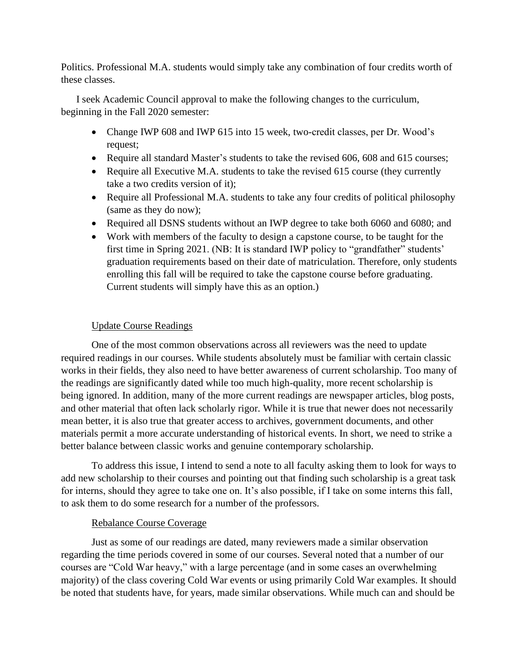Politics. Professional M.A. students would simply take any combination of four credits worth of these classes.

I seek Academic Council approval to make the following changes to the curriculum, beginning in the Fall 2020 semester:

- Change IWP 608 and IWP 615 into 15 week, two-credit classes, per Dr. Wood's request;
- Require all standard Master's students to take the revised 606, 608 and 615 courses;
- Require all Executive M.A. students to take the revised 615 course (they currently take a two credits version of it);
- Require all Professional M.A. students to take any four credits of political philosophy (same as they do now);
- Required all DSNS students without an IWP degree to take both 6060 and 6080; and
- Work with members of the faculty to design a capstone course, to be taught for the first time in Spring 2021. (NB: It is standard IWP policy to "grandfather" students' graduation requirements based on their date of matriculation. Therefore, only students enrolling this fall will be required to take the capstone course before graduating. Current students will simply have this as an option.)

# Update Course Readings

One of the most common observations across all reviewers was the need to update required readings in our courses. While students absolutely must be familiar with certain classic works in their fields, they also need to have better awareness of current scholarship. Too many of the readings are significantly dated while too much high-quality, more recent scholarship is being ignored. In addition, many of the more current readings are newspaper articles, blog posts, and other material that often lack scholarly rigor. While it is true that newer does not necessarily mean better, it is also true that greater access to archives, government documents, and other materials permit a more accurate understanding of historical events. In short, we need to strike a better balance between classic works and genuine contemporary scholarship.

To address this issue, I intend to send a note to all faculty asking them to look for ways to add new scholarship to their courses and pointing out that finding such scholarship is a great task for interns, should they agree to take one on. It's also possible, if I take on some interns this fall, to ask them to do some research for a number of the professors.

# Rebalance Course Coverage

Just as some of our readings are dated, many reviewers made a similar observation regarding the time periods covered in some of our courses. Several noted that a number of our courses are "Cold War heavy," with a large percentage (and in some cases an overwhelming majority) of the class covering Cold War events or using primarily Cold War examples. It should be noted that students have, for years, made similar observations. While much can and should be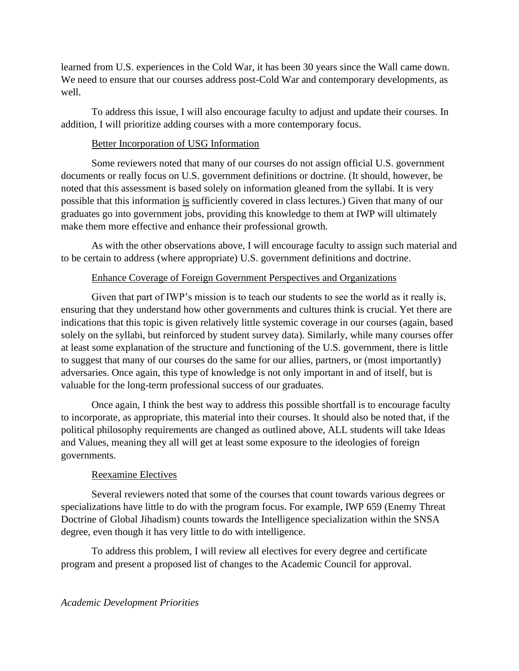learned from U.S. experiences in the Cold War, it has been 30 years since the Wall came down. We need to ensure that our courses address post-Cold War and contemporary developments, as well.

To address this issue, I will also encourage faculty to adjust and update their courses. In addition, I will prioritize adding courses with a more contemporary focus.

### Better Incorporation of USG Information

Some reviewers noted that many of our courses do not assign official U.S. government documents or really focus on U.S. government definitions or doctrine. (It should, however, be noted that this assessment is based solely on information gleaned from the syllabi. It is very possible that this information is sufficiently covered in class lectures.) Given that many of our graduates go into government jobs, providing this knowledge to them at IWP will ultimately make them more effective and enhance their professional growth.

As with the other observations above, I will encourage faculty to assign such material and to be certain to address (where appropriate) U.S. government definitions and doctrine.

## Enhance Coverage of Foreign Government Perspectives and Organizations

Given that part of IWP's mission is to teach our students to see the world as it really is, ensuring that they understand how other governments and cultures think is crucial. Yet there are indications that this topic is given relatively little systemic coverage in our courses (again, based solely on the syllabi, but reinforced by student survey data). Similarly, while many courses offer at least some explanation of the structure and functioning of the U.S. government, there is little to suggest that many of our courses do the same for our allies, partners, or (most importantly) adversaries. Once again, this type of knowledge is not only important in and of itself, but is valuable for the long-term professional success of our graduates.

Once again, I think the best way to address this possible shortfall is to encourage faculty to incorporate, as appropriate, this material into their courses. It should also be noted that, if the political philosophy requirements are changed as outlined above, ALL students will take Ideas and Values, meaning they all will get at least some exposure to the ideologies of foreign governments.

## Reexamine Electives

Several reviewers noted that some of the courses that count towards various degrees or specializations have little to do with the program focus. For example, IWP 659 (Enemy Threat Doctrine of Global Jihadism) counts towards the Intelligence specialization within the SNSA degree, even though it has very little to do with intelligence.

To address this problem, I will review all electives for every degree and certificate program and present a proposed list of changes to the Academic Council for approval.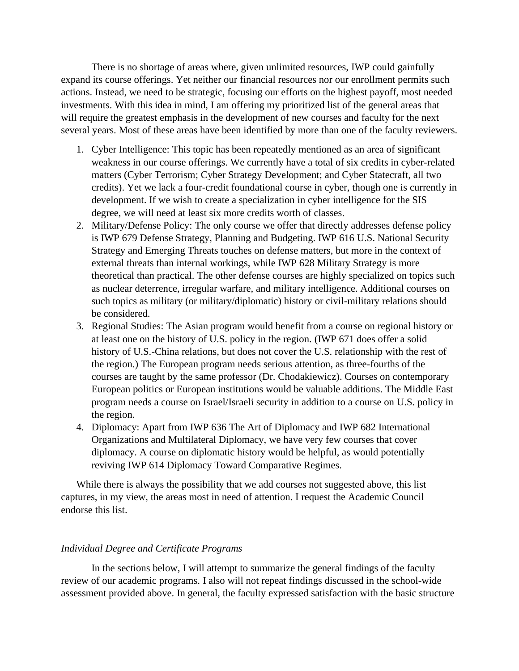There is no shortage of areas where, given unlimited resources, IWP could gainfully expand its course offerings. Yet neither our financial resources nor our enrollment permits such actions. Instead, we need to be strategic, focusing our efforts on the highest payoff, most needed investments. With this idea in mind, I am offering my prioritized list of the general areas that will require the greatest emphasis in the development of new courses and faculty for the next several years. Most of these areas have been identified by more than one of the faculty reviewers.

- 1. Cyber Intelligence: This topic has been repeatedly mentioned as an area of significant weakness in our course offerings. We currently have a total of six credits in cyber-related matters (Cyber Terrorism; Cyber Strategy Development; and Cyber Statecraft, all two credits). Yet we lack a four-credit foundational course in cyber, though one is currently in development. If we wish to create a specialization in cyber intelligence for the SIS degree, we will need at least six more credits worth of classes.
- 2. Military/Defense Policy: The only course we offer that directly addresses defense policy is IWP 679 Defense Strategy, Planning and Budgeting. IWP 616 U.S. National Security Strategy and Emerging Threats touches on defense matters, but more in the context of external threats than internal workings, while IWP 628 Military Strategy is more theoretical than practical. The other defense courses are highly specialized on topics such as nuclear deterrence, irregular warfare, and military intelligence. Additional courses on such topics as military (or military/diplomatic) history or civil-military relations should be considered.
- 3. Regional Studies: The Asian program would benefit from a course on regional history or at least one on the history of U.S. policy in the region. (IWP 671 does offer a solid history of U.S.-China relations, but does not cover the U.S. relationship with the rest of the region.) The European program needs serious attention, as three-fourths of the courses are taught by the same professor (Dr. Chodakiewicz). Courses on contemporary European politics or European institutions would be valuable additions. The Middle East program needs a course on Israel/Israeli security in addition to a course on U.S. policy in the region.
- 4. Diplomacy: Apart from IWP 636 The Art of Diplomacy and IWP 682 International Organizations and Multilateral Diplomacy, we have very few courses that cover diplomacy. A course on diplomatic history would be helpful, as would potentially reviving IWP 614 Diplomacy Toward Comparative Regimes.

While there is always the possibility that we add courses not suggested above, this list captures, in my view, the areas most in need of attention. I request the Academic Council endorse this list.

#### *Individual Degree and Certificate Programs*

In the sections below, I will attempt to summarize the general findings of the faculty review of our academic programs. I also will not repeat findings discussed in the school-wide assessment provided above. In general, the faculty expressed satisfaction with the basic structure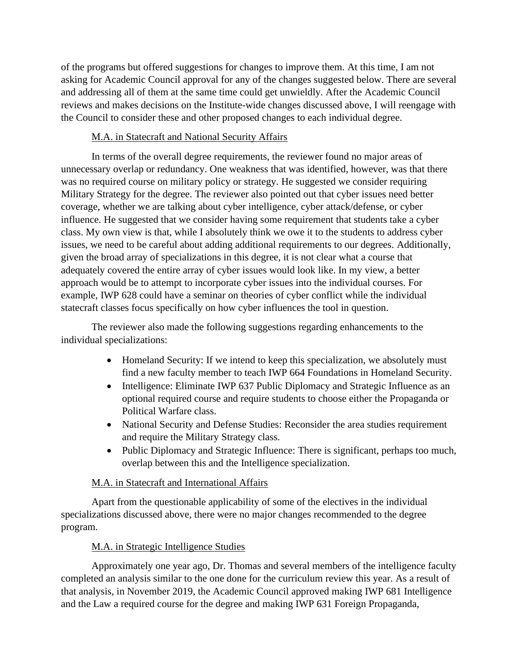of the programs but offered suggestions for changes to improve them. At this time, I am not asking for Academic Council approval for any of the changes suggested below. There are several and addressing all of them at the same time could get unwieldly. After the Academic Council reviews and makes decisions on the Institute-wide changes discussed above, I will reengage with the Council to consider these and other proposed changes to each individual degree.

## M.A. in Statecraft and National Security Affairs

In terms of the overall degree requirements, the reviewer found no major areas of unnecessary overlap or redundancy. One weakness that was identified, however, was that there was no required course on military policy or strategy. He suggested we consider requiring Military Strategy for the degree. The reviewer also pointed out that cyber issues need better coverage, whether we are talking about cyber intelligence, cyber attack/defense, or cyber influence. He suggested that we consider having some requirement that students take a cyber class. My own view is that, while I absolutely think we owe it to the students to address cyber issues, we need to be careful about adding additional requirements to our degrees. Additionally, given the broad array of specializations in this degree, it is not clear what a course that adequately covered the entire array of cyber issues would look like. In my view, a better approach would be to attempt to incorporate cyber issues into the individual courses. For example, IWP 628 could have a seminar on theories of cyber conflict while the individual statecraft classes focus specifically on how cyber influences the tool in question.

The reviewer also made the following suggestions regarding enhancements to the individual specializations:

- Homeland Security: If we intend to keep this specialization, we absolutely must find a new faculty member to teach IWP 664 Foundations in Homeland Security.
- Intelligence: Eliminate IWP 637 Public Diplomacy and Strategic Influence as an optional required course and require students to choose either the Propaganda or Political Warfare class.
- National Security and Defense Studies: Reconsider the area studies requirement and require the Military Strategy class.
- Public Diplomacy and Strategic Influence: There is significant, perhaps too much, overlap between this and the Intelligence specialization.

# M.A. in Statecraft and International Affairs

Apart from the questionable applicability of some of the electives in the individual specializations discussed above, there were no major changes recommended to the degree program.

# M.A. in Strategic Intelligence Studies

Approximately one year ago, Dr. Thomas and several members of the intelligence faculty completed an analysis similar to the one done for the curriculum review this year. As a result of that analysis, in November 2019, the Academic Council approved making IWP 681 Intelligence and the Law a required course for the degree and making IWP 631 Foreign Propaganda,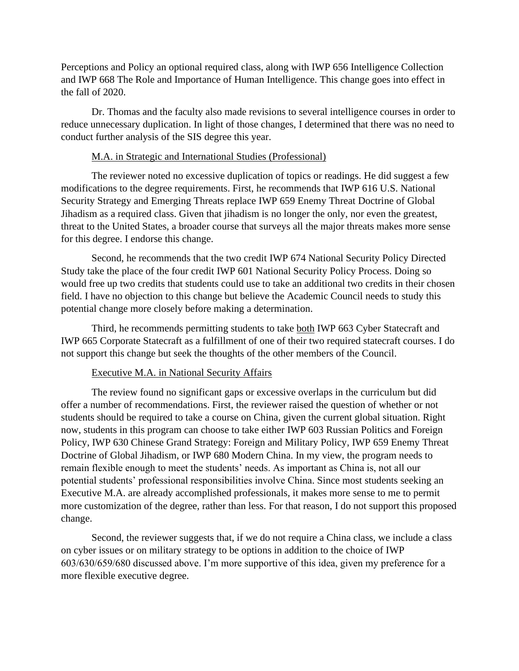Perceptions and Policy an optional required class, along with IWP 656 Intelligence Collection and IWP 668 The Role and Importance of Human Intelligence. This change goes into effect in the fall of 2020.

Dr. Thomas and the faculty also made revisions to several intelligence courses in order to reduce unnecessary duplication. In light of those changes, I determined that there was no need to conduct further analysis of the SIS degree this year.

### M.A. in Strategic and International Studies (Professional)

The reviewer noted no excessive duplication of topics or readings. He did suggest a few modifications to the degree requirements. First, he recommends that IWP 616 U.S. National Security Strategy and Emerging Threats replace IWP 659 Enemy Threat Doctrine of Global Jihadism as a required class. Given that jihadism is no longer the only, nor even the greatest, threat to the United States, a broader course that surveys all the major threats makes more sense for this degree. I endorse this change.

Second, he recommends that the two credit IWP 674 National Security Policy Directed Study take the place of the four credit IWP 601 National Security Policy Process. Doing so would free up two credits that students could use to take an additional two credits in their chosen field. I have no objection to this change but believe the Academic Council needs to study this potential change more closely before making a determination.

Third, he recommends permitting students to take both IWP 663 Cyber Statecraft and IWP 665 Corporate Statecraft as a fulfillment of one of their two required statecraft courses. I do not support this change but seek the thoughts of the other members of the Council.

#### Executive M.A. in National Security Affairs

The review found no significant gaps or excessive overlaps in the curriculum but did offer a number of recommendations. First, the reviewer raised the question of whether or not students should be required to take a course on China, given the current global situation. Right now, students in this program can choose to take either IWP 603 Russian Politics and Foreign Policy, IWP 630 Chinese Grand Strategy: Foreign and Military Policy, IWP 659 Enemy Threat Doctrine of Global Jihadism, or IWP 680 Modern China. In my view, the program needs to remain flexible enough to meet the students' needs. As important as China is, not all our potential students' professional responsibilities involve China. Since most students seeking an Executive M.A. are already accomplished professionals, it makes more sense to me to permit more customization of the degree, rather than less. For that reason, I do not support this proposed change.

Second, the reviewer suggests that, if we do not require a China class, we include a class on cyber issues or on military strategy to be options in addition to the choice of IWP 603/630/659/680 discussed above. I'm more supportive of this idea, given my preference for a more flexible executive degree.